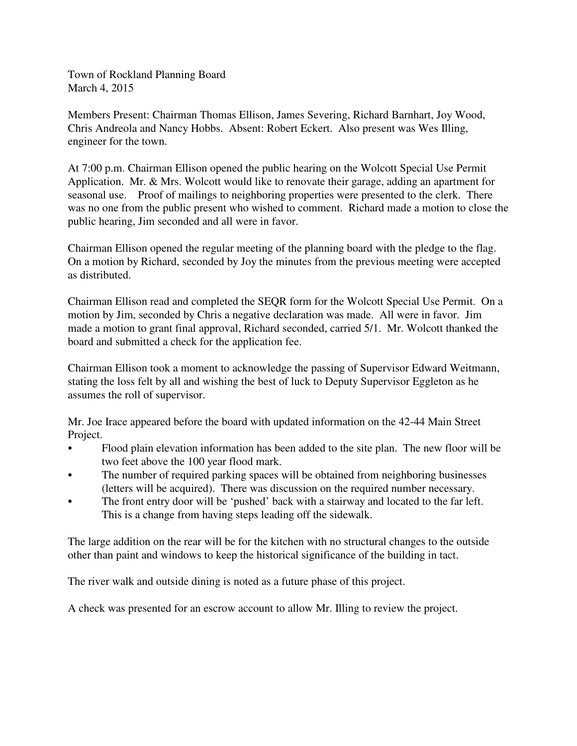Town of Rockland Planning Board March 4, 2015

Members Present: Chairman Thomas Ellison, James Severing, Richard Barnhart, Joy Wood, Chris Andreola and Nancy Hobbs. Absent: Robert Eckert. Also present was Wes Illing, engineer for the town.

At 7:00 p.m. Chairman Ellison opened the public hearing on the Wolcott Special Use Permit Application. Mr. & Mrs. Wolcott would like to renovate their garage, adding an apartment for seasonal use. Proof of mailings to neighboring properties were presented to the clerk. There was no one from the public present who wished to comment. Richard made a motion to close the public hearing, Jim seconded and all were in favor.

Chairman Ellison opened the regular meeting of the planning board with the pledge to the flag. On a motion by Richard, seconded by Joy the minutes from the previous meeting were accepted as distributed.

Chairman Ellison read and completed the SEQR form for the Wolcott Special Use Permit. On a motion by Jim, seconded by Chris a negative declaration was made. All were in favor. Jim made a motion to grant final approval, Richard seconded, carried 5/1. Mr. Wolcott thanked the board and submitted a check for the application fee.

Chairman Ellison took a moment to acknowledge the passing of Supervisor Edward Weitmann, stating the loss felt by all and wishing the best of luck to Deputy Supervisor Eggleton as he assumes the roll of supervisor.

Mr. Joe Irace appeared before the board with updated information on the 42-44 Main Street Project.

- Flood plain elevation information has been added to the site plan. The new floor will be two feet above the 100 year flood mark.
- The number of required parking spaces will be obtained from neighboring businesses (letters will be acquired). There was discussion on the required number necessary.
- The front entry door will be 'pushed' back with a stairway and located to the far left. This is a change from having steps leading off the sidewalk.

The large addition on the rear will be for the kitchen with no structural changes to the outside other than paint and windows to keep the historical significance of the building in tact.

The river walk and outside dining is noted as a future phase of this project.

A check was presented for an escrow account to allow Mr. Illing to review the project.